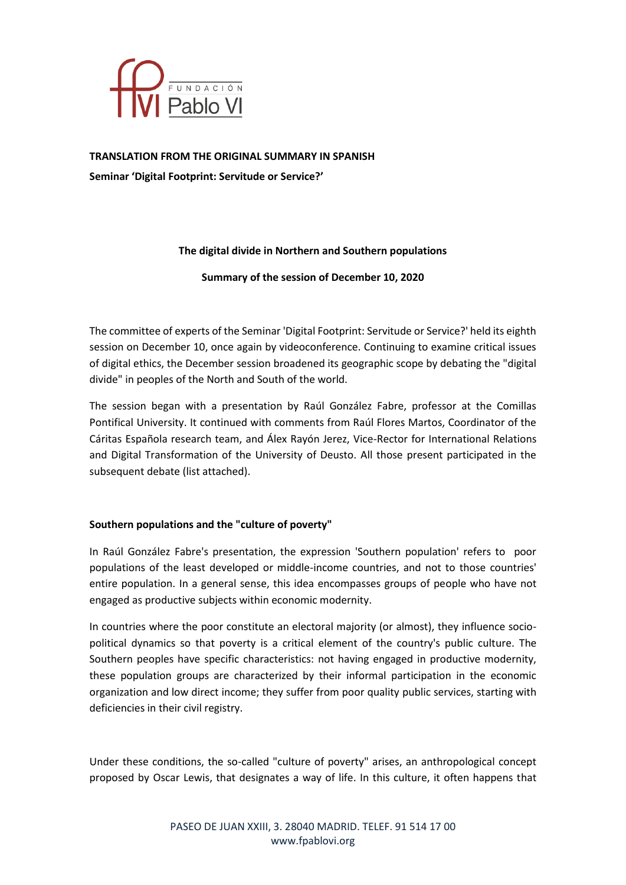

**TRANSLATION FROM THE ORIGINAL SUMMARY IN SPANISH Seminar 'Digital Footprint: Servitude or Service?'**

# **The digital divide in Northern and Southern populations**

**Summary of the session of December 10, 2020**

The committee of experts of the Seminar 'Digital Footprint: Servitude or Service?' held its eighth session on December 10, once again by videoconference. Continuing to examine critical issues of digital ethics, the December session broadened its geographic scope by debating the "digital divide" in peoples of the North and South of the world.

The session began with a presentation by Raúl González Fabre, professor at the Comillas Pontifical University. It continued with comments from Raúl Flores Martos, Coordinator of the Cáritas Española research team, and Álex Rayón Jerez, Vice-Rector for International Relations and Digital Transformation of the University of Deusto. All those present participated in the subsequent debate (list attached).

# **Southern populations and the "culture of poverty"**

In Raúl González Fabre's presentation, the expression 'Southern population' refers to poor populations of the least developed or middle-income countries, and not to those countries' entire population. In a general sense, this idea encompasses groups of people who have not engaged as productive subjects within economic modernity.

In countries where the poor constitute an electoral majority (or almost), they influence sociopolitical dynamics so that poverty is a critical element of the country's public culture. The Southern peoples have specific characteristics: not having engaged in productive modernity, these population groups are characterized by their informal participation in the economic organization and low direct income; they suffer from poor quality public services, starting with deficiencies in their civil registry.

Under these conditions, the so-called "culture of poverty" arises, an anthropological concept proposed by Oscar Lewis, that designates a way of life. In this culture, it often happens that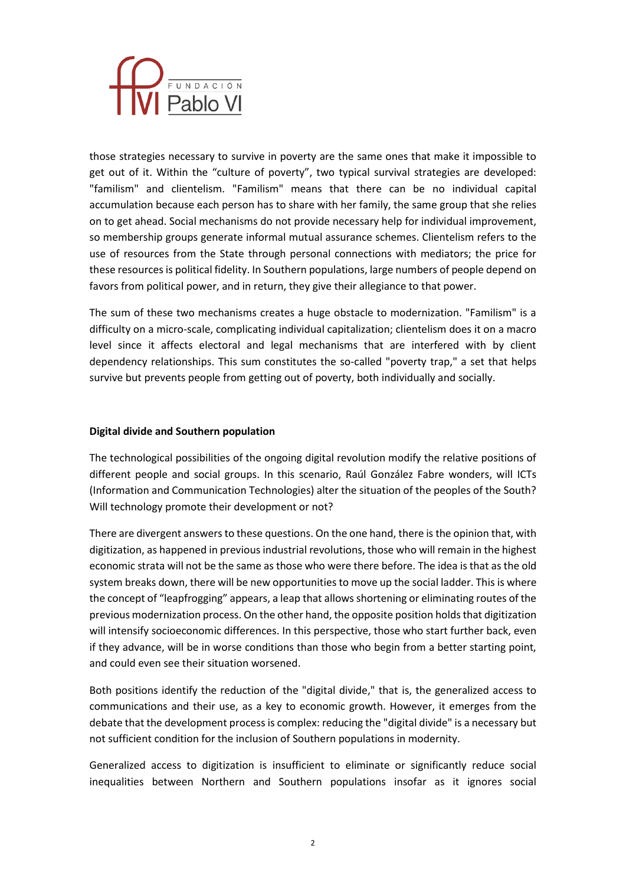

those strategies necessary to survive in poverty are the same ones that make it impossible to get out of it. Within the "culture of poverty", two typical survival strategies are developed: "familism" and clientelism. "Familism" means that there can be no individual capital accumulation because each person has to share with her family, the same group that she relies on to get ahead. Social mechanisms do not provide necessary help for individual improvement, so membership groups generate informal mutual assurance schemes. Clientelism refers to the use of resources from the State through personal connections with mediators; the price for these resources is political fidelity. In Southern populations, large numbers of people depend on favors from political power, and in return, they give their allegiance to that power.

The sum of these two mechanisms creates a huge obstacle to modernization. "Familism" is a difficulty on a micro-scale, complicating individual capitalization; clientelism does it on a macro level since it affects electoral and legal mechanisms that are interfered with by client dependency relationships. This sum constitutes the so-called "poverty trap," a set that helps survive but prevents people from getting out of poverty, both individually and socially.

#### **Digital divide and Southern population**

The technological possibilities of the ongoing digital revolution modify the relative positions of different people and social groups. In this scenario, Raúl González Fabre wonders, will ICTs (Information and Communication Technologies) alter the situation of the peoples of the South? Will technology promote their development or not?

There are divergent answers to these questions. On the one hand, there is the opinion that, with digitization, as happened in previous industrial revolutions, those who will remain in the highest economic strata will not be the same as those who were there before. The idea is that as the old system breaks down, there will be new opportunities to move up the social ladder. This is where the concept of "leapfrogging" appears, a leap that allows shortening or eliminating routes of the previous modernization process. On the other hand, the opposite position holds that digitization will intensify socioeconomic differences. In this perspective, those who start further back, even if they advance, will be in worse conditions than those who begin from a better starting point, and could even see their situation worsened.

Both positions identify the reduction of the "digital divide," that is, the generalized access to communications and their use, as a key to economic growth. However, it emerges from the debate that the development process is complex: reducing the "digital divide" is a necessary but not sufficient condition for the inclusion of Southern populations in modernity.

Generalized access to digitization is insufficient to eliminate or significantly reduce social inequalities between Northern and Southern populations insofar as it ignores social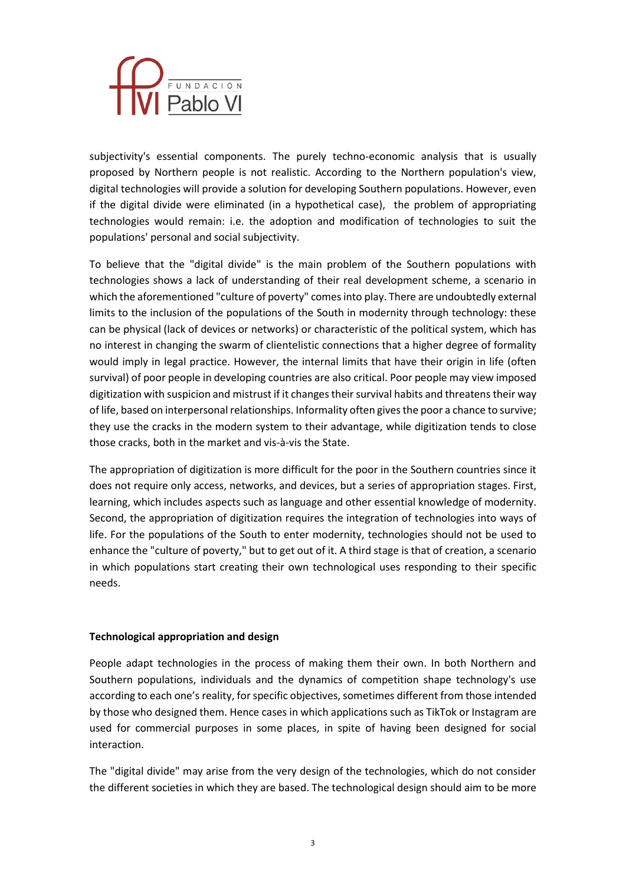

subjectivity's essential components. The purely techno-economic analysis that is usually proposed by Northern people is not realistic. According to the Northern population's view, digital technologies will provide a solution for developing Southern populations. However, even if the digital divide were eliminated (in a hypothetical case), the problem of appropriating technologies would remain: i.e. the adoption and modification of technologies to suit the populations' personal and social subjectivity.

To believe that the "digital divide" is the main problem of the Southern populations with technologies shows a lack of understanding of their real development scheme, a scenario in which the aforementioned "culture of poverty" comes into play. There are undoubtedly external limits to the inclusion of the populations of the South in modernity through technology: these can be physical (lack of devices or networks) or characteristic of the political system, which has no interest in changing the swarm of clientelistic connections that a higher degree of formality would imply in legal practice. However, the internal limits that have their origin in life (often survival) of poor people in developing countries are also critical. Poor people may view imposed digitization with suspicion and mistrust if it changes their survival habits and threatens their way of life, based on interpersonal relationships. Informality often gives the poor a chance to survive; they use the cracks in the modern system to their advantage, while digitization tends to close those cracks, both in the market and vis-à-vis the State.

The appropriation of digitization is more difficult for the poor in the Southern countries since it does not require only access, networks, and devices, but a series of appropriation stages. First, learning, which includes aspects such as language and other essential knowledge of modernity. Second, the appropriation of digitization requires the integration of technologies into ways of life. For the populations of the South to enter modernity, technologies should not be used to enhance the "culture of poverty," but to get out of it. A third stage is that of creation, a scenario in which populations start creating their own technological uses responding to their specific needs.

# **Technological appropriation and design**

People adapt technologies in the process of making them their own. In both Northern and Southern populations, individuals and the dynamics of competition shape technology's use according to each one's reality, for specific objectives, sometimes different from those intended by those who designed them. Hence cases in which applications such as TikTok or Instagram are used for commercial purposes in some places, in spite of having been designed for social interaction.

The "digital divide" may arise from the very design of the technologies, which do not consider the different societies in which they are based. The technological design should aim to be more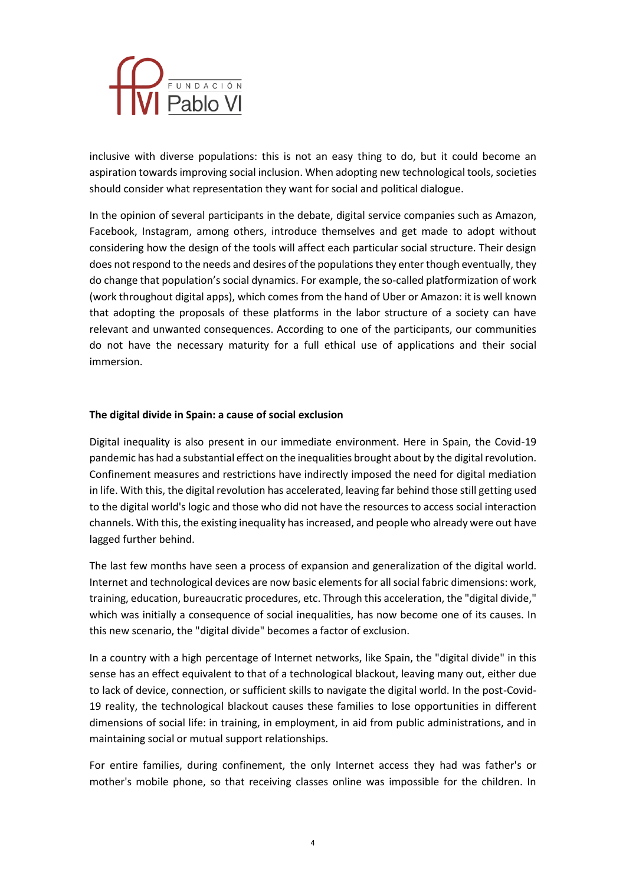

inclusive with diverse populations: this is not an easy thing to do, but it could become an aspiration towards improving social inclusion. When adopting new technological tools, societies should consider what representation they want for social and political dialogue.

In the opinion of several participants in the debate, digital service companies such as Amazon, Facebook, Instagram, among others, introduce themselves and get made to adopt without considering how the design of the tools will affect each particular social structure. Their design does not respond to the needs and desires of the populations they enter though eventually, they do change that population's social dynamics. For example, the so-called platformization of work (work throughout digital apps), which comes from the hand of Uber or Amazon: it is well known that adopting the proposals of these platforms in the labor structure of a society can have relevant and unwanted consequences. According to one of the participants, our communities do not have the necessary maturity for a full ethical use of applications and their social immersion.

#### **The digital divide in Spain: a cause of social exclusion**

Digital inequality is also present in our immediate environment. Here in Spain, the Covid-19 pandemic has had a substantial effect on the inequalities brought about by the digital revolution. Confinement measures and restrictions have indirectly imposed the need for digital mediation in life. With this, the digital revolution has accelerated, leaving far behind those still getting used to the digital world's logic and those who did not have the resources to access social interaction channels. With this, the existing inequality has increased, and people who already were out have lagged further behind.

The last few months have seen a process of expansion and generalization of the digital world. Internet and technological devices are now basic elements for all social fabric dimensions: work, training, education, bureaucratic procedures, etc. Through this acceleration, the "digital divide," which was initially a consequence of social inequalities, has now become one of its causes. In this new scenario, the "digital divide" becomes a factor of exclusion.

In a country with a high percentage of Internet networks, like Spain, the "digital divide" in this sense has an effect equivalent to that of a technological blackout, leaving many out, either due to lack of device, connection, or sufficient skills to navigate the digital world. In the post-Covid-19 reality, the technological blackout causes these families to lose opportunities in different dimensions of social life: in training, in employment, in aid from public administrations, and in maintaining social or mutual support relationships.

For entire families, during confinement, the only Internet access they had was father's or mother's mobile phone, so that receiving classes online was impossible for the children. In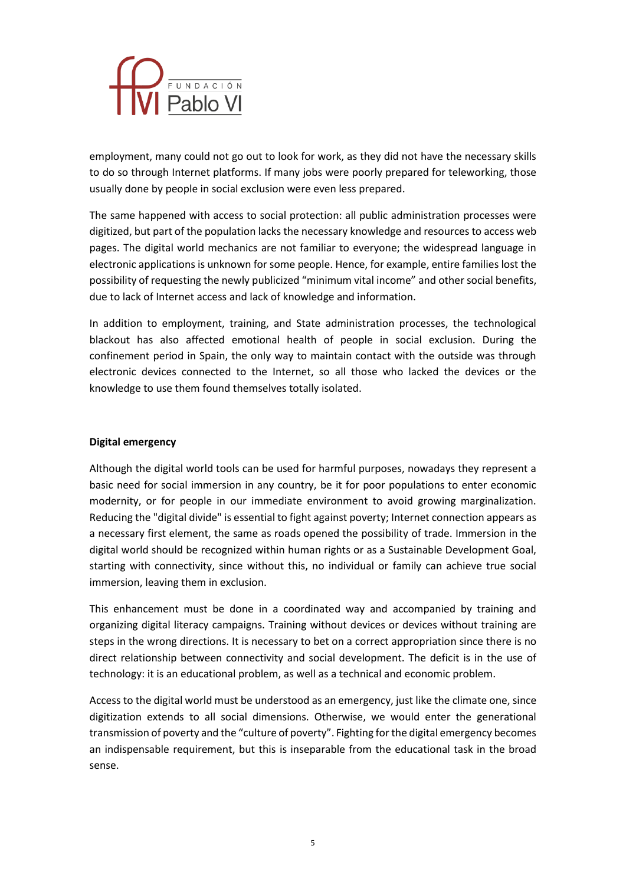

employment, many could not go out to look for work, as they did not have the necessary skills to do so through Internet platforms. If many jobs were poorly prepared for teleworking, those usually done by people in social exclusion were even less prepared.

The same happened with access to social protection: all public administration processes were digitized, but part of the population lacks the necessary knowledge and resources to access web pages. The digital world mechanics are not familiar to everyone; the widespread language in electronic applications is unknown for some people. Hence, for example, entire families lost the possibility of requesting the newly publicized "minimum vital income" and other social benefits, due to lack of Internet access and lack of knowledge and information.

In addition to employment, training, and State administration processes, the technological blackout has also affected emotional health of people in social exclusion. During the confinement period in Spain, the only way to maintain contact with the outside was through electronic devices connected to the Internet, so all those who lacked the devices or the knowledge to use them found themselves totally isolated.

#### **Digital emergency**

Although the digital world tools can be used for harmful purposes, nowadays they represent a basic need for social immersion in any country, be it for poor populations to enter economic modernity, or for people in our immediate environment to avoid growing marginalization. Reducing the "digital divide" is essential to fight against poverty; Internet connection appears as a necessary first element, the same as roads opened the possibility of trade. Immersion in the digital world should be recognized within human rights or as a Sustainable Development Goal, starting with connectivity, since without this, no individual or family can achieve true social immersion, leaving them in exclusion.

This enhancement must be done in a coordinated way and accompanied by training and organizing digital literacy campaigns. Training without devices or devices without training are steps in the wrong directions. It is necessary to bet on a correct appropriation since there is no direct relationship between connectivity and social development. The deficit is in the use of technology: it is an educational problem, as well as a technical and economic problem.

Access to the digital world must be understood as an emergency, just like the climate one, since digitization extends to all social dimensions. Otherwise, we would enter the generational transmission of poverty and the "culture of poverty". Fighting for the digital emergency becomes an indispensable requirement, but this is inseparable from the educational task in the broad sense.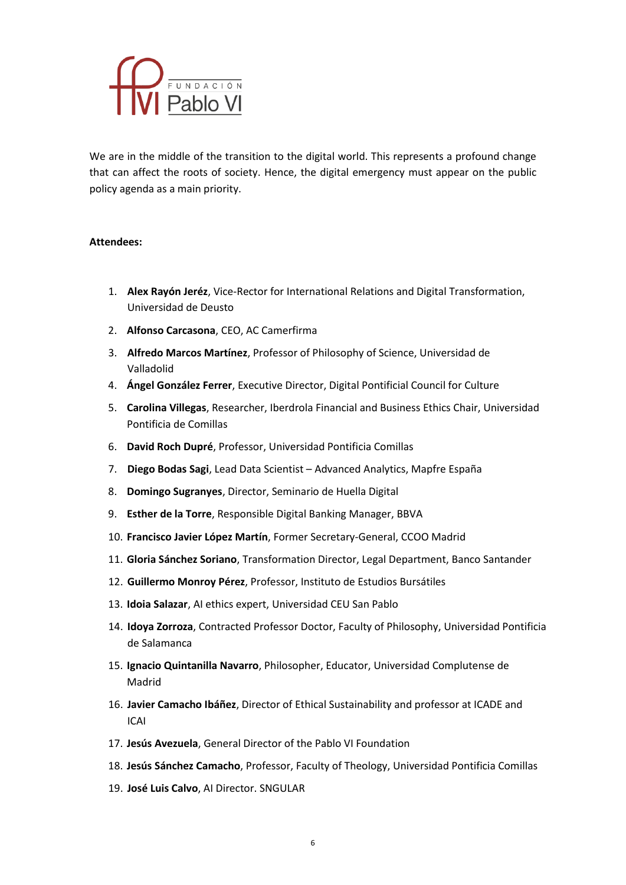

We are in the middle of the transition to the digital world. This represents a profound change that can affect the roots of society. Hence, the digital emergency must appear on the public policy agenda as a main priority.

#### **Attendees:**

- 1. **Alex Rayón Jeréz**, Vice-Rector for International Relations and Digital Transformation, Universidad de Deusto
- 2. **Alfonso Carcasona**, CEO, AC Camerfirma
- 3. **Alfredo Marcos Martínez**, Professor of Philosophy of Science, Universidad de Valladolid
- 4. **Ángel González Ferrer**, Executive Director, Digital Pontificial Council for Culture
- 5. **Carolina Villegas**, Researcher, Iberdrola Financial and Business Ethics Chair, Universidad Pontificia de Comillas
- 6. **David Roch Dupré**, Professor, Universidad Pontificia Comillas
- 7. **Diego Bodas Sagi**, Lead Data Scientist Advanced Analytics, Mapfre España
- 8. **Domingo Sugranyes**, Director, Seminario de Huella Digital
- 9. **Esther de la Torre**, Responsible Digital Banking Manager, BBVA
- 10. **Francisco Javier López Martín**, Former Secretary-General, CCOO Madrid
- 11. **Gloria Sánchez Soriano**, Transformation Director, Legal Department, Banco Santander
- 12. **Guillermo Monroy Pérez**, Professor, Instituto de Estudios Bursátiles
- 13. **Idoia Salazar**, AI ethics expert, Universidad CEU San Pablo
- 14. **Idoya Zorroza**, Contracted Professor Doctor, Faculty of Philosophy, Universidad Pontificia de Salamanca
- 15. **Ignacio Quintanilla Navarro**, Philosopher, Educator, Universidad Complutense de Madrid
- 16. **Javier Camacho Ibáñez**, Director of Ethical Sustainability and professor at ICADE and ICAI
- 17. **Jesús Avezuela**, General Director of the Pablo VI Foundation
- 18. **Jesús Sánchez Camacho**, Professor, Faculty of Theology, Universidad Pontificia Comillas
- 19. **José Luis Calvo**, AI Director. SNGULAR